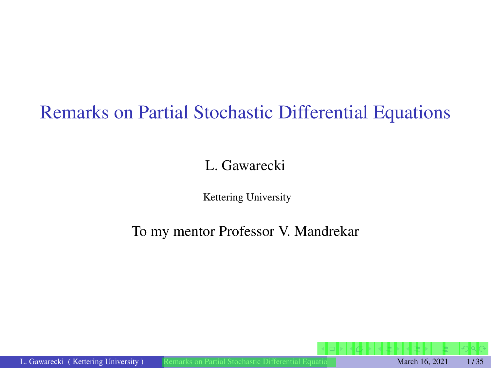# <span id="page-0-0"></span>Remarks on Partial Stochastic Differential Equations

### L. Gawarecki

Kettering University

### To my mentor Professor V. Mandrekar

L. Gawarecki ( Kettering University ) [Remarks on Partial Stochastic Differential Equations](#page-34-0) March 16, 2021 1/35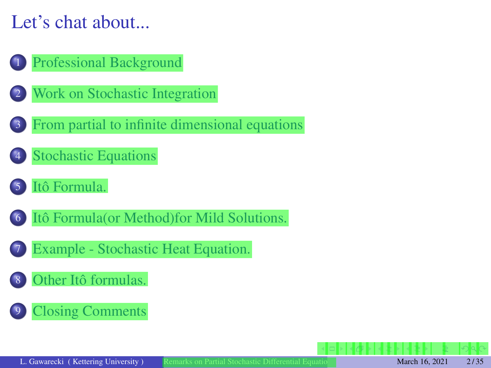# Let's chat about...

### [Professional Background](#page-2-0)

- [Work on Stochastic Integration](#page-3-0)
	- [From partial to infinite dimensional equations](#page-4-0)
- [Stochastic Equations](#page-15-0)

### [Itô Formula.](#page-18-0)

- [Itô Formula\(or Method\)for Mild Solutions.](#page-24-0)
- [Example Stochastic Heat Equation.](#page-29-0)
- [Other Itô formulas.](#page-31-0)

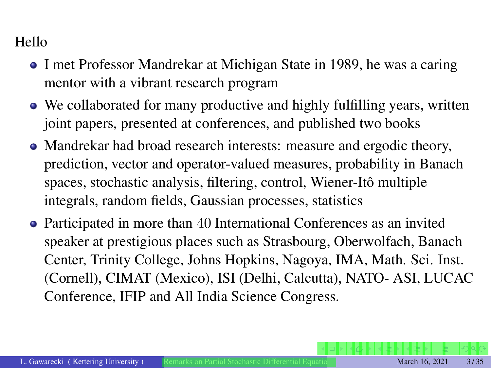#### <span id="page-2-0"></span>Hello

- I met Professor Mandrekar at Michigan State in 1989, he was a caring mentor with a vibrant research program
- We collaborated for many productive and highly fulfilling years, written joint papers, presented at conferences, and published two books
- Mandrekar had broad research interests: measure and ergodic theory, prediction, vector and operator-valued measures, probability in Banach spaces, stochastic analysis, filtering, control, Wiener-Itô multiple integrals, random fields, Gaussian processes, statistics
- Participated in more than 40 International Conferences as an invited speaker at prestigious places such as Strasbourg, Oberwolfach, Banach Center, Trinity College, Johns Hopkins, Nagoya, IMA, Math. Sci. Inst. (Cornell), CIMAT (Mexico), ISI (Delhi, Calcutta), NATO- ASI, LUCAC Conference, IFIP and All India Science Congress.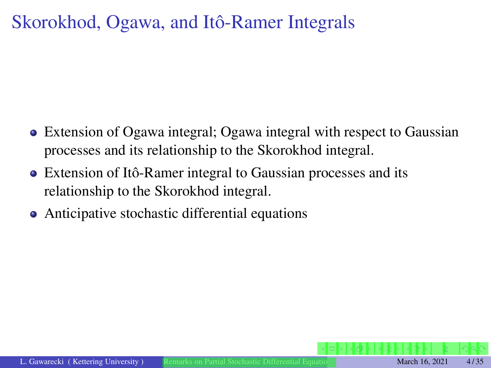# <span id="page-3-0"></span>Skorokhod, Ogawa, and Itô-Ramer Integrals

- Extension of Ogawa integral; Ogawa integral with respect to Gaussian processes and its relationship to the Skorokhod integral.
- Extension of Itô-Ramer integral to Gaussian processes and its relationship to the Skorokhod integral.
- Anticipative stochastic differential equations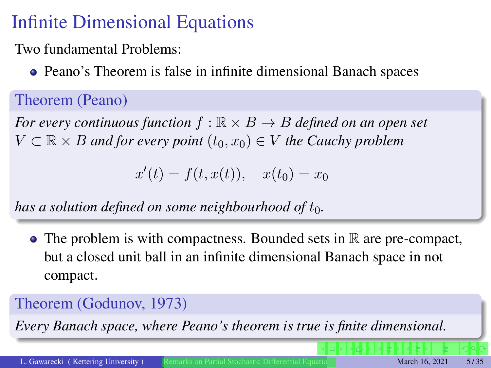# <span id="page-4-0"></span>Infinite Dimensional Equations

Two fundamental Problems:

Peano's Theorem is false in infinite dimensional Banach spaces

Theorem (Peano)

*For every continuous function*  $f : \mathbb{R} \times B \rightarrow B$  *defined on an open set*  $V \subset \mathbb{R} \times B$  *and for every point*  $(t_0, x_0) \in V$  *the Cauchy problem* 

 $x'(t) = f(t, x(t)), \quad x(t_0) = x_0$ 

*has a solution defined on some neighbourhood of t*0*.*

 $\bullet$  The problem is with compactness. Bounded sets in  $\mathbb R$  are pre-compact, but a closed unit ball in an infinite dimensional Banach space in not compact.

## Theorem (Godunov, 1973)

*Every Banach space, where Peano's theorem is true is finite dimensional.*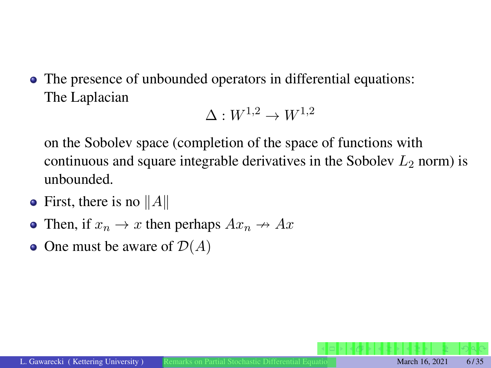The presence of unbounded operators in differential equations: The Laplacian

```
\Lambda \cdot W^{1,2} \rightarrow W^{1,2}
```
on the Sobolev space (completion of the space of functions with continuous and square integrable derivatives in the Sobolev  $L_2$  norm) is unbounded.

- First, there is no  $||A||$
- Then, if  $x_n \to x$  then perhaps  $Ax_n \to Ax$
- One must be aware of  $\mathcal{D}(A)$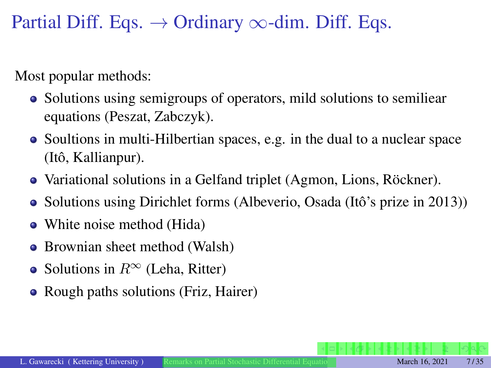Partial Diff. Eqs.  $\rightarrow$  Ordinary  $\infty$ -dim. Diff. Eqs.

Most popular methods:

- Solutions using semigroups of operators, mild solutions to semiliear equations (Peszat, Zabczyk).
- Soultions in multi-Hilbertian spaces, e.g. in the dual to a nuclear space (Itô, Kallianpur).
- Variational solutions in a Gelfand triplet (Agmon, Lions, Röckner).
- Solutions using Dirichlet forms (Albeverio, Osada (Itô's prize in 2013))
- White noise method (Hida)
- Brownian sheet method (Walsh)
- Solutions in  $R^{\infty}$  (Leha, Ritter)
- Rough paths solutions (Friz, Hairer)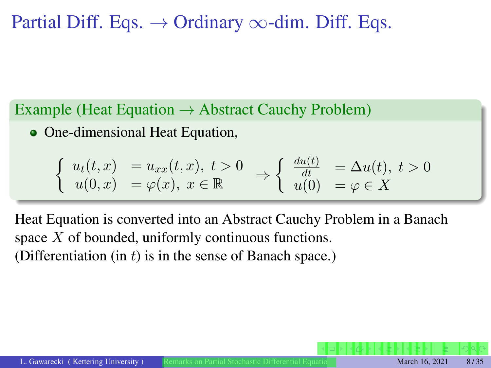# Partial Diff. Eqs.  $\rightarrow$  Ordinary  $\infty$ -dim. Diff. Eqs.

Example (Heat Equation  $\rightarrow$  Abstract Cauchy Problem)

• One-dimensional Heat Equation,

$$
\begin{cases}\nu_t(t,x) = u_{xx}(t,x), \ t > 0 \\
u(0,x) = \varphi(x), \ x \in \mathbb{R}\n\end{cases}\n\Rightarrow\n\begin{cases}\n\frac{du(t)}{dt} = \Delta u(t), \ t > 0 \\
u(0) = \varphi \in X\n\end{cases}
$$

Heat Equation is converted into an Abstract Cauchy Problem in a Banach space *X* of bounded, uniformly continuous functions. (Differentiation (in *t*) is in the sense of Banach space.)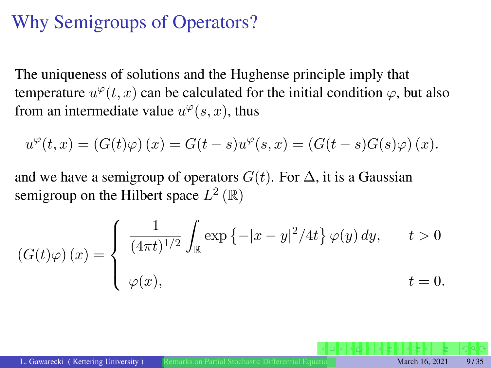# Why Semigroups of Operators?

The uniqueness of solutions and the Hughense principle imply that temperature  $u^{\varphi}(t, x)$  can be calculated for the initial condition  $\varphi$ , but also from an intermediate value  $u^{\varphi}(s, x)$ , thus

$$
u^{\varphi}(t,x) = (G(t)\varphi)(x) = G(t-s)u^{\varphi}(s,x) = (G(t-s)G(s)\varphi)(x).
$$

and we have a semigroup of operators  $G(t)$ . For  $\Delta$ , it is a Gaussian semigroup on the Hilbert space  $L^2(\mathbb{R})$ 

$$
(G(t)\varphi)(x) = \begin{cases} \frac{1}{(4\pi t)^{1/2}} \int_{\mathbb{R}} \exp\left\{-|x-y|^2/4t\right\} \varphi(y) dy, & t > 0 \\ \varphi(x), & t = 0. \end{cases}
$$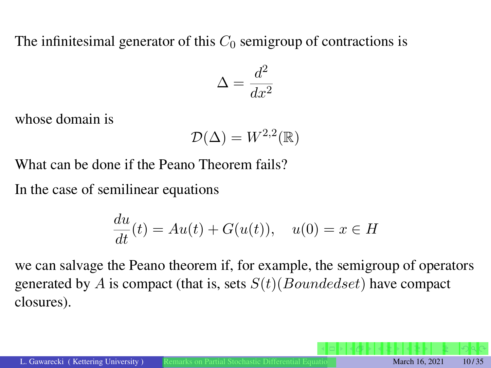The infinitesimal generator of this  $C_0$  semigroup of contractions is

$$
\Delta = \frac{d^2}{dx^2}
$$

whose domain is

$$
\mathcal{D}(\Delta) = W^{2,2}(\mathbb{R})
$$

What can be done if the Peano Theorem fails?

In the case of semilinear equations

$$
\frac{du}{dt}(t) = Au(t) + G(u(t)), \quad u(0) = x \in H
$$

we can salvage the Peano theorem if, for example, the semigroup of operators generated by *A* is compact (that is, sets *S*(*t*)(*Boundedset*) have compact closures).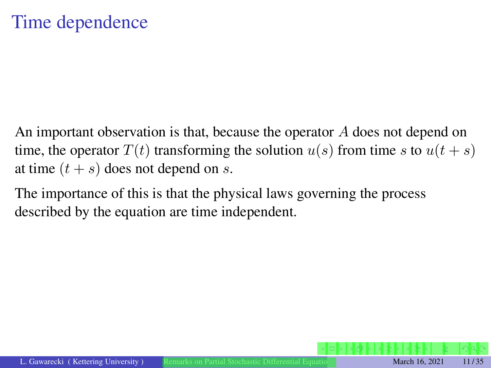An important observation is that, because the operator *A* does not depend on time, the operator  $T(t)$  transforming the solution  $u(s)$  from time *s* to  $u(t + s)$ at time  $(t + s)$  does not depend on *s*.

The importance of this is that the physical laws governing the process described by the equation are time independent.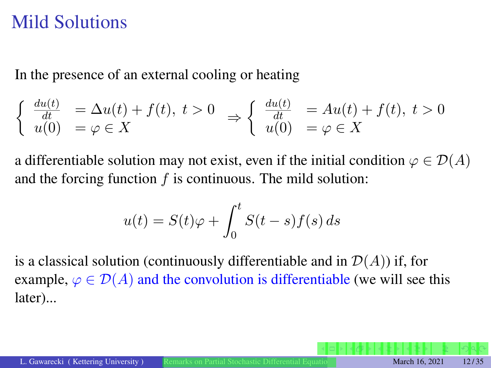## Mild Solutions

In the presence of an external cooling or heating

$$
\begin{cases} \frac{du(t)}{dt} = \Delta u(t) + f(t), \ t > 0 \\ u(0) = \varphi \in X \end{cases} \Rightarrow \begin{cases} \frac{du(t)}{dt} = Au(t) + f(t), \ t > 0 \\ u(0) = \varphi \in X \end{cases}
$$

a differentiable solution may not exist, even if the initial condition  $\varphi \in \mathcal{D}(A)$ and the forcing function *f* is continuous. The mild solution:

$$
u(t) = S(t)\varphi + \int_0^t S(t-s)f(s) \, ds
$$

is a classical solution (continuously differentiable and in  $\mathcal{D}(A)$ ) if, for example,  $\varphi \in \mathcal{D}(A)$  and the convolution is differentiable (we will see this later)...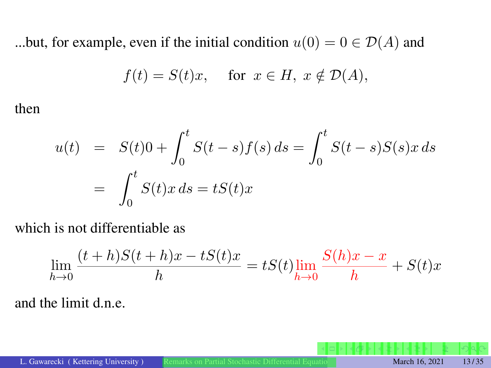...but, for example, even if the initial condition  $u(0) = 0 \in \mathcal{D}(A)$  and

$$
f(t) = S(t)x, \quad \text{ for } x \in H, \ x \notin \mathcal{D}(A),
$$

then

$$
u(t) = S(t)0 + \int_0^t S(t-s)f(s) ds = \int_0^t S(t-s)S(s)x ds
$$
  
= 
$$
\int_0^t S(t)x ds = tS(t)x
$$

which is not differentiable as

$$
\lim_{h \to 0} \frac{(t+h)S(t+h)x - tS(t)x}{h} = tS(t) \lim_{h \to 0} \frac{S(h)x - x}{h} + S(t)x
$$

and the limit d.n.e.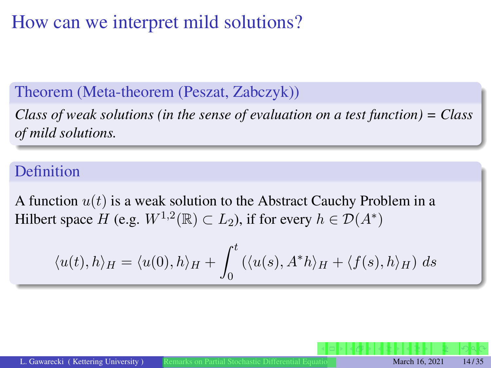# How can we interpret mild solutions?

### Theorem (Meta-theorem (Peszat, Zabczyk))

*Class of weak solutions (in the sense of evaluation on a test function) = Class of mild solutions.*

#### Definition

A function *u*(*t*) is a weak solution to the Abstract Cauchy Problem in a Hilbert space *H* (e.g.  $W^{1,2}(\mathbb{R}) \subset L_2$ ), if for every  $h \in \mathcal{D}(A^*)$ 

$$
\langle u(t), h \rangle_H = \langle u(0), h \rangle_H + \int_0^t (\langle u(s), A^*h \rangle_H + \langle f(s), h \rangle_H) ds
$$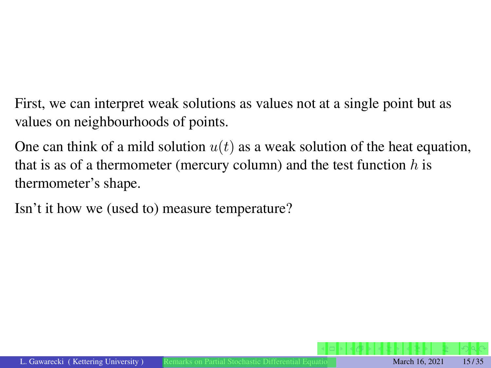First, we can interpret weak solutions as values not at a single point but as values on neighbourhoods of points.

One can think of a mild solution  $u(t)$  as a weak solution of the heat equation, that is as of a thermometer (mercury column) and the test function *h* is thermometer's shape.

Isn't it how we (used to) measure temperature?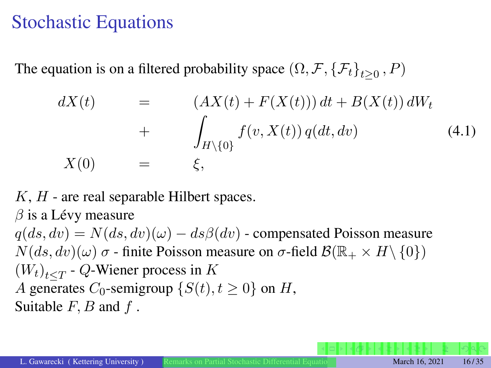## <span id="page-15-0"></span>Stochastic Equations

The equation is on a filtered probability space  $(\Omega, \mathcal{F}, \{\mathcal{F}_t\}_{t>0}, P)$ 

<span id="page-15-1"></span>
$$
dX(t) = (AX(t) + F(X(t))) dt + B(X(t)) dW_t
$$
  
+ 
$$
\int_{H \setminus \{0\}} f(v, X(t)) q(dt, dv)
$$
(4.1)  

$$
X(0) = \xi,
$$

*K*, *H* - are real separable Hilbert spaces.

 $\beta$  is a Lévy measure

 $q(ds, dv) = N(ds, dv)(\omega) - ds\beta(dv)$  - compensated Poisson measure  $N(ds, dv)(\omega)$   $\sigma$  - finite Poisson measure on  $\sigma$ -field  $\mathcal{B}(\mathbb{R}_+ \times H \setminus \{0\})$  $(W_t)_{t \le T}$  - *Q*-Wiener process in *K A* generates *C*<sub>0</sub>-semigroup  $\{S(t), t \ge 0\}$  on *H*, Suitable *F, B* and *f* .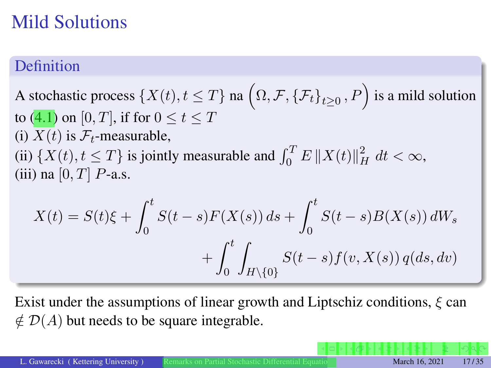# Mild Solutions

### **Definition**

# A stochastic process  $\{X(t), t \leq T\}$  na  $\left(\Omega, \mathcal{F}, \{\mathcal{F}_t\}_{t \geq 0}, P\right)$  is a mild solution to  $(4.1)$  on  $[0, T]$ , if for  $0 \le t \le T$ (i)  $X(t)$  is  $\mathcal{F}_t$ -measurable, (ii)  $\{X(t), t \leq T\}$  is jointly measurable and  $\int_0^T E ||X(t)||_H^2 dt < \infty$ , (iii) na  $[0, T]$  *P*-a.s.

$$
X(t) = S(t)\xi + \int_0^t S(t-s)F(X(s)) ds + \int_0^t S(t-s)B(X(s)) dW_s
$$
  
+ 
$$
\int_0^t \int_{H \setminus \{0\}} S(t-s) f(v, X(s)) q(ds, dv)
$$

Exist under the assumptions of linear growth and Liptschiz conditions,  $\xi$  can  $\notin$   $\mathcal{D}(A)$  but needs to be square integrable.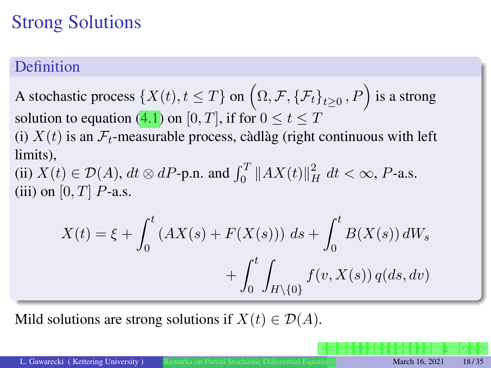# <span id="page-17-0"></span>Strong Solutions

## Definition

A stochastic process  $\{X(t), t \leq T\}$  on  $(\Omega, \mathcal{F}, \{\mathcal{F}_t\}_{t \geq 0}, P)$  is a strong solution to equation [\(4.1\)](#page-15-1) on [0, T], if for  $0 \le t \le T$ 

(i)  $X(t)$  is an  $\mathcal{F}_t$ -measurable process, càdlàg (right continuous with left limits),

(ii)  $X(t) \in \mathcal{D}(A)$ ,  $dt \otimes dP$ -p.n. and  $\int_0^T \|AX(t)\|_H^2 dt < \infty$ , *P*-a.s. (iii) on  $[0, T]$  *P*-a.s.

$$
X(t) = \xi + \int_0^t (AX(s) + F(X(s))) \, ds + \int_0^t B(X(s)) \, dW_s + \int_0^t \int_{H \setminus \{0\}} f(v, X(s)) \, q(ds, dv)
$$

Mild solutions are strong solutions if  $X(t) \in \mathcal{D}(A)$ .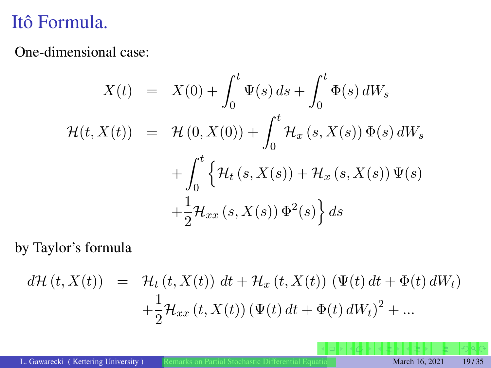# <span id="page-18-0"></span>Itô Formula.

One-dimensional case:

$$
X(t) = X(0) + \int_0^t \Psi(s) ds + \int_0^t \Phi(s) dW_s
$$
  

$$
\mathcal{H}(t, X(t)) = \mathcal{H}(0, X(0)) + \int_0^t \mathcal{H}_x(s, X(s)) \Phi(s) dW_s
$$
  

$$
+ \int_0^t \left\{ \mathcal{H}_t(s, X(s)) + \mathcal{H}_x(s, X(s)) \Psi(s) + \frac{1}{2} \mathcal{H}_{xx}(s, X(s)) \Phi^2(s) \right\} ds
$$

by Taylor's formula

$$
d\mathcal{H}(t, X(t)) = \mathcal{H}_t(t, X(t)) dt + \mathcal{H}_x(t, X(t)) (\Psi(t) dt + \Phi(t) dW_t)
$$
  
+ 
$$
\frac{1}{2} \mathcal{H}_{xx}(t, X(t)) (\Psi(t) dt + \Phi(t) dW_t)^2 + ...
$$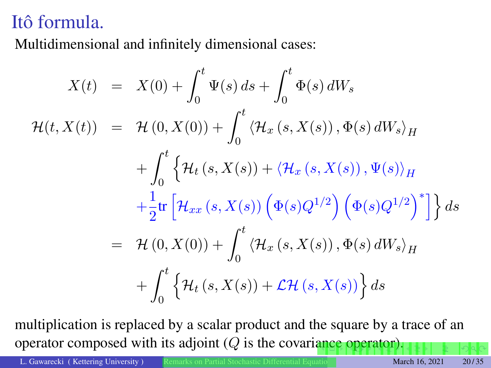# <span id="page-19-0"></span>Itô formula.

Multidimensional and infinitely dimensional cases:

$$
X(t) = X(0) + \int_0^t \Psi(s) ds + \int_0^t \Phi(s) dW_s
$$
  

$$
\mathcal{H}(t, X(t)) = \mathcal{H}(0, X(0)) + \int_0^t \langle \mathcal{H}_x(s, X(s)), \Phi(s) dW_s \rangle_H
$$
  

$$
+ \int_0^t \left\{ \mathcal{H}_t(s, X(s)) + \langle \mathcal{H}_x(s, X(s)), \Psi(s) \rangle_H \right\}
$$
  

$$
+ \frac{1}{2} \text{tr} \left[ \mathcal{H}_{xx}(s, X(s)) \left( \Phi(s) Q^{1/2} \right) \left( \Phi(s) Q^{1/2} \right)^* \right] \right\} ds
$$
  

$$
= \mathcal{H}(0, X(0)) + \int_0^t \langle \mathcal{H}_x(s, X(s)), \Phi(s) dW_s \rangle_H
$$
  

$$
+ \int_0^t \left\{ \mathcal{H}_t(s, X(s)) + \mathcal{L} \mathcal{H}(s, X(s)) \right\} ds
$$

multiplication is replaced by a scalar product and the square by a trace of an operator composed with its adjoint (*Q* is the covari[an](#page-18-0)[ce](#page-20-0) [o](#page-18-0)[pe](#page-19-0)[r](#page-20-0)[at](#page-17-0)[o](#page-18-0)[r](#page-23-0)[\).](#page-24-0)

L. Gawarecki ( Kettering University ) [Remarks on Partial Stochastic Differential Equations](#page-0-0) March 16, 2021 20/35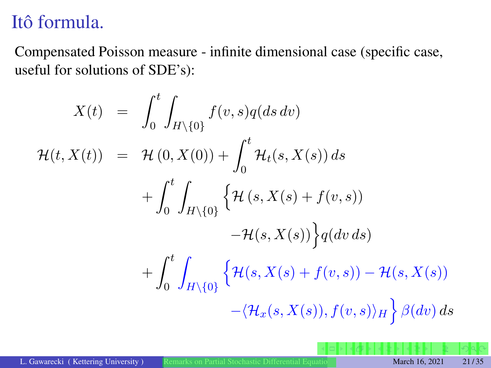# <span id="page-20-0"></span>Itô formula.

Compensated Poisson measure - infinite dimensional case (specific case, useful for solutions of SDE's):

$$
X(t) = \int_0^t \int_{H \setminus \{0\}} f(v, s)q(ds dv)
$$
  

$$
\mathcal{H}(t, X(t)) = \mathcal{H}(0, X(0)) + \int_0^t \mathcal{H}_t(s, X(s)) ds
$$
  

$$
+ \int_0^t \int_{H \setminus \{0\}} \left\{ \mathcal{H}(s, X(s) + f(v, s)) - \mathcal{H}(s, X(s)) \right\} q(dv ds)
$$
  

$$
+ \int_0^t \int_{H \setminus \{0\}} \left\{ \mathcal{H}(s, X(s) + f(v, s)) - \mathcal{H}(s, X(s)) - \langle \mathcal{H}_x(s, X(s)), f(v, s) \rangle_H \right\} \beta(dv) ds
$$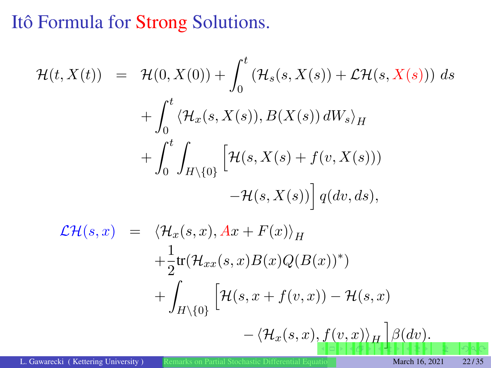# <span id="page-21-0"></span>Itô Formula for Strong Solutions.

$$
\mathcal{H}(t, X(t)) = \mathcal{H}(0, X(0)) + \int_0^t (\mathcal{H}_s(s, X(s)) + \mathcal{L}\mathcal{H}(s, X(s))) ds
$$
  
+ 
$$
\int_0^t \langle \mathcal{H}_x(s, X(s)), B(X(s)) dW_s \rangle_H
$$
  
+ 
$$
\int_0^t \int_{H \setminus \{0\}} \left[ \mathcal{H}(s, X(s) + f(v, X(s)))
$$
  
- 
$$
\mathcal{H}(s, X(s)) \right] q(dv, ds),
$$
  

$$
\mathcal{L}\mathcal{H}(s, x) = \langle \mathcal{H}_x(s, x), Ax + F(x) \rangle_H
$$
  
+ 
$$
\frac{1}{2} \text{tr}(\mathcal{H}_{xx}(s, x)B(x)Q(B(x))^*)
$$
  
+ 
$$
\int_{H \setminus \{0\}} \left[ \mathcal{H}(s, x + f(v, x)) - \mathcal{H}(s, x) - \langle \mathcal{H}_x(s, x), f(v, x) \rangle_H \right] \beta(dv).
$$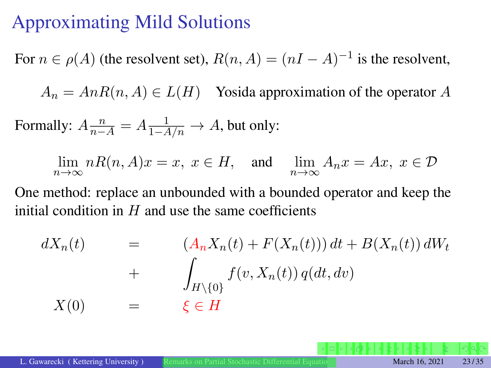# <span id="page-22-0"></span>Approximating Mild Solutions

For  $n \in \rho(A)$  (the resolvent set),  $R(n, A) = (nI - A)^{-1}$  is the resolvent,

 $A_n = AnR(n, A) \in L(H)$  Yosida approximation of the operator *A* 

Formally:  $A \frac{n}{n-A} = A \frac{1}{1-A/n} \rightarrow A$ , but only:

 $\lim_{n \to \infty} nR(n, A)x = x, x \in H$ , and  $\lim_{n \to \infty} A_n x = Ax, x \in \mathcal{D}$ 

One method: replace an unbounded with a bounded operator and keep the initial condition in *H* and use the same coefficients

$$
dX_n(t) = (A_n X_n(t) + F(X_n(t))) dt + B(X_n(t)) dW_t
$$
  
+ 
$$
\int_{H \setminus \{0\}} f(v, X_n(t)) q(dt, dv)
$$
  

$$
X(0) = \xi \in H
$$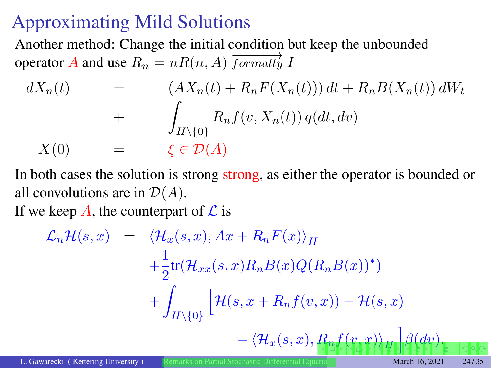# <span id="page-23-0"></span>Approximating Mild Solutions

Another method: Change the initial condition but keep the unbounded operator *A* and use  $R_n = nR(n, A)$  *formally I* 

$$
dX_n(t) = (AX_n(t) + R_n F(X_n(t))) dt + R_n B(X_n(t)) dW_t
$$
  
+ 
$$
\int_{H \setminus \{0\}} R_n f(v, X_n(t)) q(dt, dv)
$$
  

$$
X(0) = \xi \in \mathcal{D}(A)
$$

In both cases the solution is strong strong, as either the operator is bounded or all convolutions are in  $\mathcal{D}(A)$ .

If we keep  $\vec{A}$ , the counterpart of  $\vec{L}$  is

$$
\mathcal{L}_n\mathcal{H}(s,x) = \langle \mathcal{H}_x(s,x), Ax + R_n F(x) \rangle_H
$$
  
+  $\frac{1}{2}$ tr $(\mathcal{H}_{xx}(s,x)R_n B(x)Q(R_n B(x))^*)$   
+  $\int_{H \setminus \{0\}} \left[ \mathcal{H}(s, x + R_n f(v,x)) - \mathcal{H}(s,x) - \langle \mathcal{H}_x(s,x), R_n f(\gamma_* x) \rangle_H \right] \beta(dy)_{\mathbb{E}}$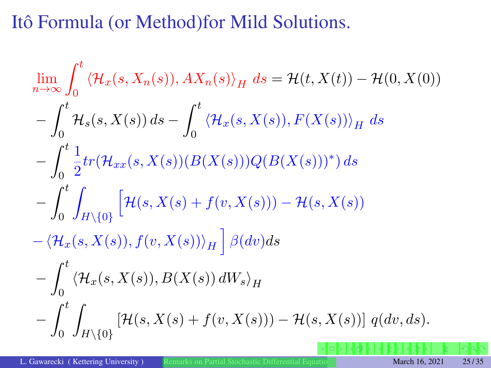# <span id="page-24-0"></span>Itô Formula (or Method)for Mild Solutions.

$$
\lim_{n \to \infty} \int_0^t \langle \mathcal{H}_x(s, X_n(s)), AX_n(s) \rangle_H ds = \mathcal{H}(t, X(t)) - \mathcal{H}(0, X(0))
$$
  
\n
$$
- \int_0^t \mathcal{H}_s(s, X(s)) ds - \int_0^t \langle \mathcal{H}_x(s, X(s)), F(X(s)) \rangle_H ds
$$
  
\n
$$
- \int_0^t \frac{1}{2} tr(\mathcal{H}_{xx}(s, X(s)) (B(X(s))) Q(B(X(s)))^*) ds
$$
  
\n
$$
- \int_0^t \int_{H \setminus \{0\}} \left[ \mathcal{H}(s, X(s) + f(v, X(s))) - \mathcal{H}(s, X(s)) \right]
$$
  
\n
$$
- \langle \mathcal{H}_x(s, X(s)), f(v, X(s)) \rangle_H \right] \beta(dv) ds
$$
  
\n
$$
- \int_0^t \langle \mathcal{H}_x(s, X(s)), B(X(s)) dW_s \rangle_H
$$
  
\n
$$
- \int_0^t \int_{H \setminus \{0\}} \left[ \mathcal{H}(s, X(s) + f(v, X(s))) - \mathcal{H}(s, X(s)) \right] q(dv, ds).
$$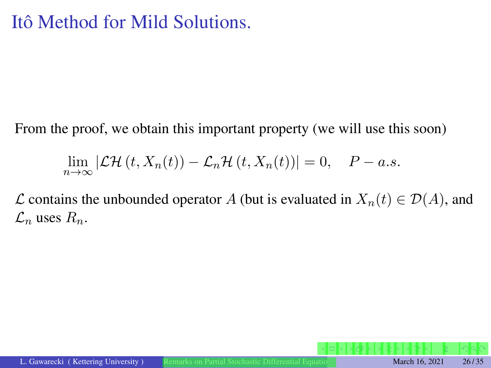# Itô Method for Mild Solutions.

From the proof, we obtain this important property (we will use this soon)

$$
\lim_{n \to \infty} |\mathcal{LH}(t, X_n(t)) - \mathcal{L}_n \mathcal{H}(t, X_n(t))| = 0, \quad P - a.s.
$$

*L* contains the unbounded operator *A* (but is evaluated in  $X_n(t) \in \mathcal{D}(A)$ , and  $\mathcal{L}_n$  uses  $R_n$ .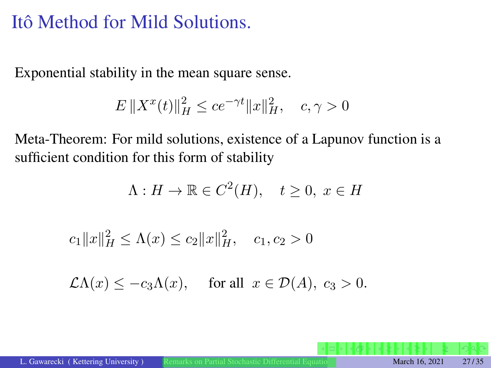# Itô Method for Mild Solutions.

Exponential stability in the mean square sense.

$$
E \|X^{x}(t)\|_{H}^{2} \le ce^{-\gamma t} \|x\|_{H}^{2}, \quad c, \gamma > 0
$$

Meta-Theorem: For mild solutions, existence of a Lapunov function is a sufficient condition for this form of stability

$$
\Lambda: H \to \mathbb{R} \in C^2(H), \quad t \ge 0, \ x \in H
$$

 $c_1 ||x||_H^2 \le \Lambda(x) \le c_2 ||x||_H^2$ ,  $c_1, c_2 > 0$ 

 $\mathcal{L}\Lambda(x) \leq -c_3\Lambda(x)$ , for all  $x \in \mathcal{D}(A)$ ,  $c_3 > 0$ .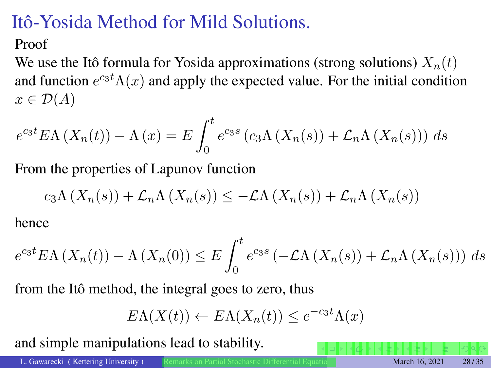# Itô-Yosida Method for Mild Solutions.

#### Proof

We use the Itô formula for Yosida approximations (strong solutions)  $X_n(t)$ and function  $e^{c_3t}\Lambda(x)$  and apply the expected value. For the initial condition  $x \in \mathcal{D}(A)$ 

$$
e^{c_3t} E\Lambda\left(X_n(t)\right) - \Lambda\left(x\right) = E \int_0^t e^{c_3s} \left(c_3\Lambda\left(X_n(s)\right) + \mathcal{L}_n\Lambda\left(X_n(s)\right)\right) ds
$$

From the properties of Lapunov function

$$
c_3\Lambda\left(X_n(s)\right)+\mathcal{L}_n\Lambda\left(X_n(s)\right)\leq-\mathcal{L}\Lambda\left(X_n(s)\right)+\mathcal{L}_n\Lambda\left(X_n(s)\right)
$$

hence

$$
e^{c_3t} E\Lambda\left(X_n(t)\right) - \Lambda\left(X_n(0)\right) \le E \int_0^t e^{c_3s} \left(-\mathcal{L}\Lambda\left(X_n(s)\right) + \mathcal{L}_n\Lambda\left(X_n(s)\right)\right) ds
$$

from the Itô method, the integral goes to zero, thus

$$
E\Lambda(X(t)) \leftarrow E\Lambda(X_n(t)) \le e^{-c_3 t} \Lambda(x)
$$

and simple manipulations lead to stability.

L. Gawarecki ( Kettering University ) [Remarks on Partial Stochastic Differential Equations](#page-0-0) March 16, 2021 28/35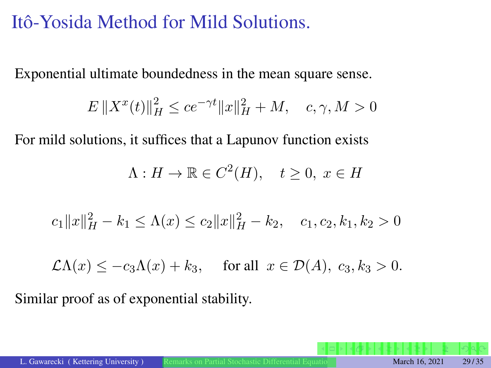# Itô-Yosida Method for Mild Solutions.

Exponential ultimate boundedness in the mean square sense.

$$
E \|X^{x}(t)\|_{H}^{2} \le ce^{-\gamma t} \|x\|_{H}^{2} + M, \quad c, \gamma, M > 0
$$

For mild solutions, it suffices that a Lapunov function exists

$$
\Lambda: H \to \mathbb{R} \in C^2(H), \quad t \ge 0, \ x \in H
$$

$$
c_1||x||_H^2 - k_1 \le \Lambda(x) \le c_2||x||_H^2 - k_2, \quad c_1, c_2, k_1, k_2 > 0
$$

$$
\mathcal{L}\Lambda(x) \le -c_3 \Lambda(x) + k_3, \quad \text{for all } x \in \mathcal{D}(A), \ c_3, k_3 > 0.
$$

Similar proof as of exponential stability.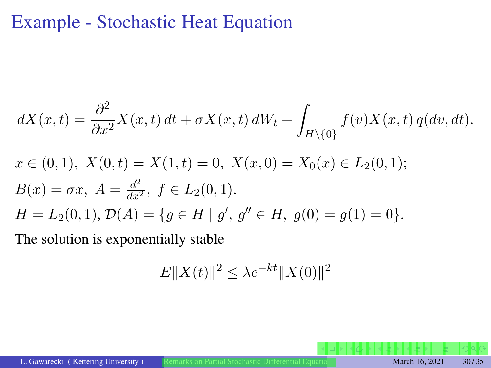## <span id="page-29-0"></span>Example - Stochastic Heat Equation

$$
dX(x,t) = \frac{\partial^2}{\partial x^2} X(x,t) dt + \sigma X(x,t) dW_t + \int_{H \setminus \{0\}} f(v)X(x,t) q(dv, dt).
$$
  
\n
$$
x \in (0,1), X(0,t) = X(1,t) = 0, X(x,0) = X_0(x) \in L_2(0,1);
$$
  
\n
$$
B(x) = \sigma x, A = \frac{d^2}{dx^2}, f \in L_2(0,1).
$$
  
\n
$$
H = L_2(0,1), \mathcal{D}(A) = \{g \in H \mid g', g'' \in H, g(0) = g(1) = 0\}.
$$
  
\nThe solution is exponentially stable.

The solution is exponentially stable

$$
E||X(t)||^2 \le \lambda e^{-kt} ||X(0)||^2
$$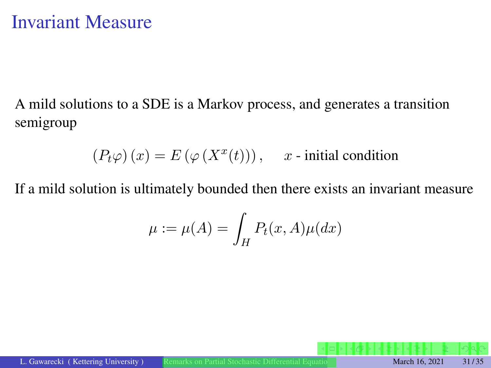# Invariant Measure

A mild solutions to a SDE is a Markov process, and generates a transition semigroup

$$
(P_t \varphi)(x) = E(\varphi(X^x(t))), \quad x \text{- initial condition}
$$

If a mild solution is ultimately bounded then there exists an invariant measure

$$
\mu := \mu(A) = \int_H P_t(x, A)\mu(dx)
$$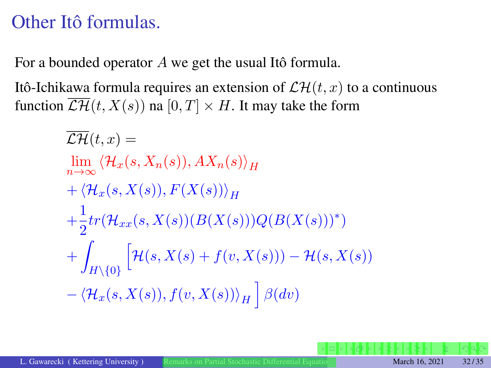# <span id="page-31-0"></span>Other Itô formulas.

For a bounded operator *A* we get the usual Itô formula.

Itô-Ichikawa formula requires an extension of  $\mathcal{LH}(t, x)$  to a continuous function  $\overline{\mathcal{LH}}(t, X(s))$  na  $[0, T] \times H$ . It may take the form

$$
\overline{\mathcal{L}\mathcal{H}}(t,x) =
$$
\n
$$
\lim_{n \to \infty} \langle \mathcal{H}_x(s, X_n(s)), AX_n(s) \rangle_H
$$
\n
$$
+ \langle \mathcal{H}_x(s, X(s)), F(X(s)) \rangle_H
$$
\n
$$
+ \frac{1}{2} tr(\mathcal{H}_{xx}(s, X(s))(B(X(s)))Q(B(X(s)))^*)
$$
\n
$$
+ \int_{H \setminus \{0\}} \left[ \mathcal{H}(s, X(s) + f(v, X(s))) - \mathcal{H}(s, X(s)) - \langle \mathcal{H}_x(s, X(s)), f(v, X(s)) \rangle_H \right] \beta(dv)
$$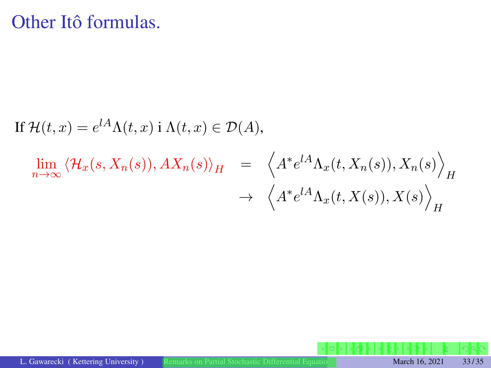## Other Itô formulas.

If 
$$
\mathcal{H}(t, x) = e^{lA}\Lambda(t, x) \text{ i } \Lambda(t, x) \in \mathcal{D}(A)
$$
,  
\n
$$
\lim_{n \to \infty} \langle \mathcal{H}_x(s, X_n(s)), AX_n(s) \rangle_H = \left\langle A^* e^{lA} \Lambda_x(t, X_n(s)), X_n(s) \right\rangle_H
$$
\n
$$
\rightarrow \left\langle A^* e^{lA} \Lambda_x(t, X(s)), X(s) \right\rangle_H
$$

L. Gawarecki ( Kettering University ) [Remarks on Partial Stochastic Differential Equations](#page-0-0) March 16, 2021 33/35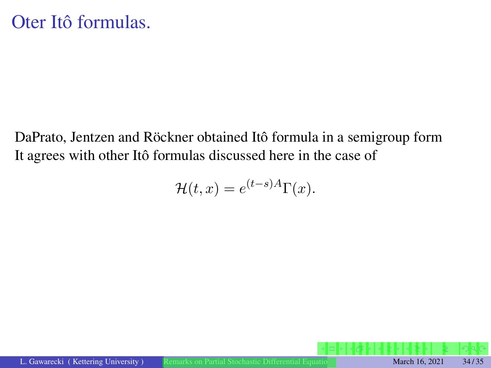DaPrato, Jentzen and Röckner obtained Itô formula in a semigroup form It agrees with other Itô formulas discussed here in the case of

$$
\mathcal{H}(t,x) = e^{(t-s)A}\Gamma(x).
$$